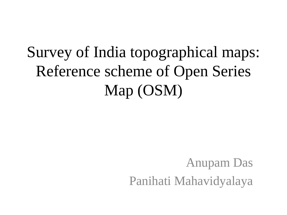## Survey of India topographical maps: Reference scheme of Open Series Map (OSM)

Anupam Das Panihati Mahavidyalaya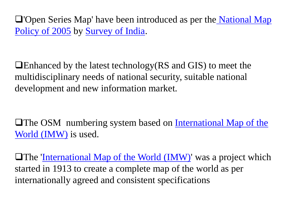'Open Series Map' have been introduced as per the [National Map](http://www.surveyofindia.gov.in/files/nmp/National Map Policy.pdf)  [Policy of 2005](http://www.surveyofindia.gov.in/files/nmp/National Map Policy.pdf) by [Survey of India.](http://en.wikipedia.org/wiki/Survey_of_India)

Enhanced by the latest technology(RS and GIS) to meet the multidisciplinary needs of national security, suitable national development and new information market.

**The OSM** numbering system based on International Map of the [World \(IMW\)](https://deeppradhan.heliohost.org/gis/map-numbering/imw.htm) is used.

**The <u>'[International Map of the World \(IMW\)](https://en.m.wikipedia.org/wiki/International_Map_of_the_World)</u>** was a project which started in 1913 to create a complete map of the world as per internationally agreed and consistent specifications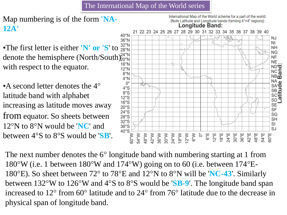The International Map of the World series

## Map numbering is of the form **'NA-12A'**

•The first letter is either **'N' or 'S'** to  $^{32\textdegree N}_{28\textdegree N}$ denote the hemisphere (North/South)<sup>24°N</sup> with respect to the equator.

• A second letter denotes the 4<sup>o</sup> latitude band with alphabet increasing as latitude moves away from equator. So sheets between 12°N to 8°N would be '**NC**' and between 4°S to 8°S would be '**SB**'.



International Map of the World scheme for a part of the world:

The next number denotes the 6° longitude band with numbering starting at 1 from 180°W (i.e. 1 between 180°W and 174°W) going on to 60 (i.e. between 174°E-180°E). So sheet between 72° to 78°E and 12°N to 8°N will be '**NC-43**'. Similarly between 132°W to 126°W and 4°S to 8°S would be '**SB-9**'. The longitude band span increased to 12° from 60° latitude and to 24° from 76° latitude due to the decrease in physical span of longitude band.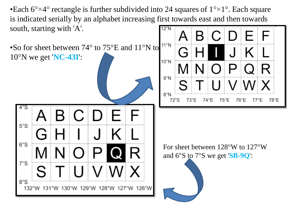•Each  $6^{\circ}\times4^{\circ}$  rectangle is further subdivided into 24 squares of  $1^{\circ}\times1^{\circ}$ . Each square is indicated serially by an alphabet increasing first towards east and then towards south, starting with 'A'.  $12°N$  $11^{\circ}$ N •So for sheet between 74° to 75°E and 11°N to 10°N we get '**NC-43I**':  $10^{\circ}$ N  $9°N$  $8^{\circ}N$ 72°E 73°E 74°F  $75^{\circ}E$  $76^{\circ}$ E 77°E 78°E 4°S  $5°S$  $6°S$ For sheet between 128°W to 127°W and 6°S to 7°S we get '**SB-9Q**': $7°S$  $8°S$ °W 126°W  $132^{\circ}$ W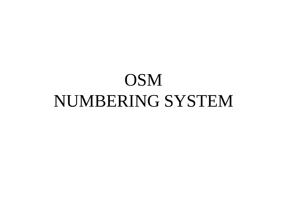## OSM NUMBERING SYSTEM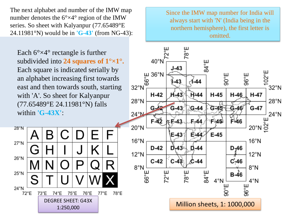The next alphabet and number of the IMW map number denotes the  $6^{\circ} \times 4^{\circ}$  region of the IMW series. So sheet with Kalyanpur (77.65489°E 24.11981°N) would be in **'G-43'** (from NG-43):

Each  $6^{\circ}\times4^{\circ}$  rectangle is further subdivided into **24 squares of 1°×1°.**  Each square is indicated serially by an alphabet increasing first towards east and then towards south, starting with 'A'. So sheet for Kalyanpur (77.65489°E 24.11981°N) falls within **'G-43X'**:

28°N  $27°N$  $\cup$ Ğ  $26°N$ R N  $25^{\circ}$ N S  $24^{\circ}$ N 73°E 74°E 75°E 76°E 77°E 78°E 72°E DEGREE SHEET: G43X 1:250,000 **Million sheets, 1: 1000,000** 

Since the IMW map number for India will always start with 'N' (India being in the northern hemisphere), the first letter is omitted.

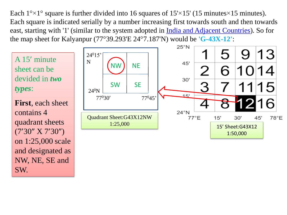Each  $1^{\circ} \times 1^{\circ}$  square is further divided into 16 squares of  $15 \times 15'$  (15 minutes  $\times 15$  minutes). Each square is indicated serially by a number increasing first towards south and then towards east, starting with '1' (similar to the system adopted in *India and Adjacent Countries*). So for the map sheet for Kalyanpur (77°39.293'E 24°7.187'N) would be **'G-43X-12'**:



and designated as

NW, NE, SE and

SW.